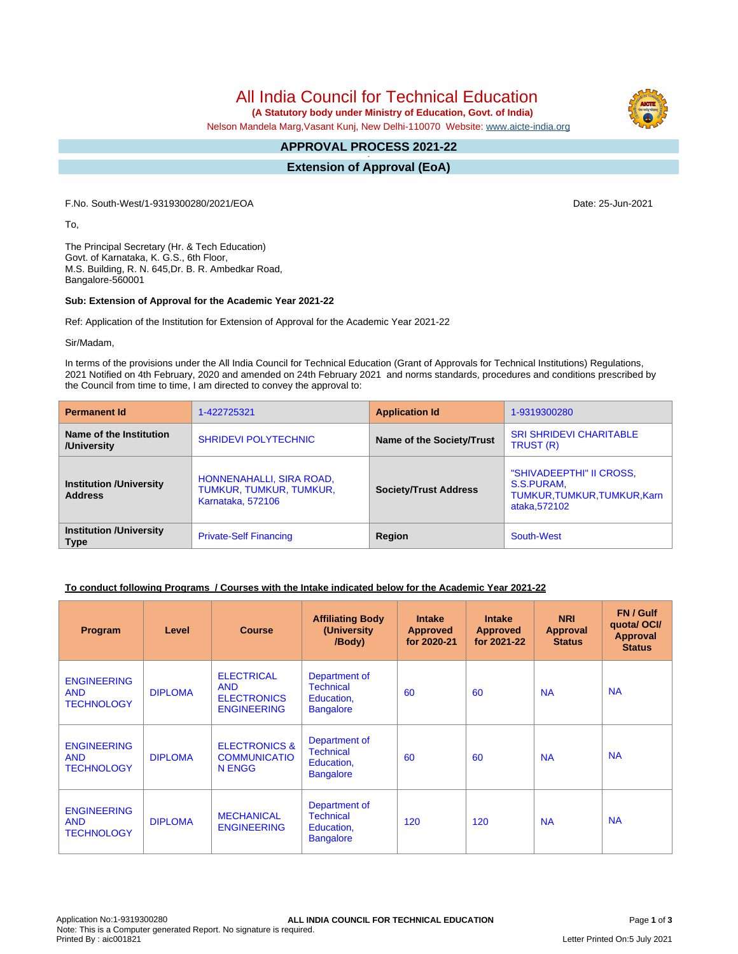# All India Council for Technical Education

 **(A Statutory body under Ministry of Education, Govt. of India)**

Nelson Mandela Marg,Vasant Kunj, New Delhi-110070 Website: [www.aicte-india.org](http://www.aicte-india.org)

#### **APPROVAL PROCESS 2021-22 -**

**Extension of Approval (EoA)**

F.No. South-West/1-9319300280/2021/EOA Date: 25-Jun-2021

To,

The Principal Secretary (Hr. & Tech Education) Govt. of Karnataka, K. G.S., 6th Floor, M.S. Building, R. N. 645,Dr. B. R. Ambedkar Road, Bangalore-560001

#### **Sub: Extension of Approval for the Academic Year 2021-22**

Ref: Application of the Institution for Extension of Approval for the Academic Year 2021-22

Sir/Madam,

In terms of the provisions under the All India Council for Technical Education (Grant of Approvals for Technical Institutions) Regulations, 2021 Notified on 4th February, 2020 and amended on 24th February 2021 and norms standards, procedures and conditions prescribed by the Council from time to time, I am directed to convey the approval to:

| <b>Permanent Id</b>                              | 1-422725321                                                              | <b>Application Id</b>        | 1-9319300280                                                                            |  |
|--------------------------------------------------|--------------------------------------------------------------------------|------------------------------|-----------------------------------------------------------------------------------------|--|
| Name of the Institution<br>/University           | <b>SHRIDEVI POLYTECHNIC</b>                                              | Name of the Society/Trust    | <b>SRI SHRIDEVI CHARITABLE</b><br>TRUST (R)                                             |  |
| <b>Institution /University</b><br><b>Address</b> | HONNENAHALLI, SIRA ROAD,<br>TUMKUR, TUMKUR, TUMKUR,<br>Karnataka, 572106 | <b>Society/Trust Address</b> | "SHIVADEEPTHI" II CROSS,<br>S.S.PURAM,<br>TUMKUR, TUMKUR, TUMKUR, Karn<br>ataka, 572102 |  |
| <b>Institution /University</b><br><b>Type</b>    | <b>Private-Self Financing</b>                                            | Region                       | South-West                                                                              |  |

### **To conduct following Programs / Courses with the Intake indicated below for the Academic Year 2021-22**

| Program                                               | Level          | <b>Course</b>                                                               | <b>Affiliating Body</b><br>(University<br>/Body)                    | <b>Intake</b><br><b>Approved</b><br>for 2020-21 | <b>Intake</b><br><b>Approved</b><br>for 2021-22 | <b>NRI</b><br>Approval<br><b>Status</b> | FN / Gulf<br>quotal OCI/<br><b>Approval</b><br><b>Status</b> |
|-------------------------------------------------------|----------------|-----------------------------------------------------------------------------|---------------------------------------------------------------------|-------------------------------------------------|-------------------------------------------------|-----------------------------------------|--------------------------------------------------------------|
| <b>ENGINEERING</b><br><b>AND</b><br><b>TECHNOLOGY</b> | <b>DIPLOMA</b> | <b>ELECTRICAL</b><br><b>AND</b><br><b>ELECTRONICS</b><br><b>ENGINEERING</b> | Department of<br><b>Technical</b><br>Education,<br><b>Bangalore</b> | 60                                              | 60                                              | <b>NA</b>                               | <b>NA</b>                                                    |
| <b>ENGINEERING</b><br><b>AND</b><br><b>TECHNOLOGY</b> | <b>DIPLOMA</b> | <b>ELECTRONICS &amp;</b><br><b>COMMUNICATIO</b><br>N ENGG                   | Department of<br><b>Technical</b><br>Education,<br><b>Bangalore</b> | 60                                              | 60                                              | <b>NA</b>                               | <b>NA</b>                                                    |
| <b>ENGINEERING</b><br><b>AND</b><br><b>TECHNOLOGY</b> | <b>DIPLOMA</b> | <b>MECHANICAL</b><br><b>ENGINEERING</b>                                     | Department of<br><b>Technical</b><br>Education,<br><b>Bangalore</b> | 120                                             | 120                                             | <b>NA</b>                               | <b>NA</b>                                                    |

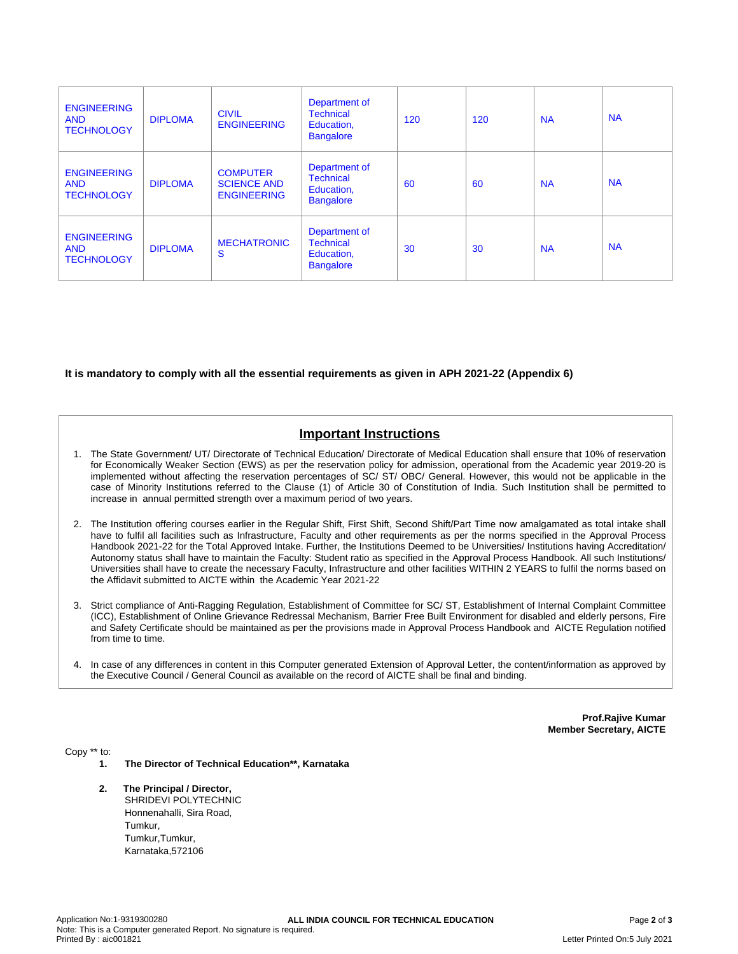| <b>ENGINEERING</b><br><b>AND</b><br><b>TECHNOLOGY</b> | <b>DIPLOMA</b> | <b>CIVIL</b><br><b>ENGINEERING</b>                          | Department of<br><b>Technical</b><br>Education,<br><b>Bangalore</b> | 120 | 120 | <b>NA</b> | <b>NA</b> |
|-------------------------------------------------------|----------------|-------------------------------------------------------------|---------------------------------------------------------------------|-----|-----|-----------|-----------|
| <b>ENGINEERING</b><br><b>AND</b><br><b>TECHNOLOGY</b> | <b>DIPLOMA</b> | <b>COMPUTER</b><br><b>SCIENCE AND</b><br><b>ENGINEERING</b> | Department of<br><b>Technical</b><br>Education,<br><b>Bangalore</b> | 60  | 60  | <b>NA</b> | <b>NA</b> |
| <b>ENGINEERING</b><br><b>AND</b><br><b>TECHNOLOGY</b> | <b>DIPLOMA</b> | <b>MECHATRONIC</b><br>S                                     | Department of<br><b>Technical</b><br>Education,<br><b>Bangalore</b> | 30  | 30  | <b>NA</b> | <b>NA</b> |

### **It is mandatory to comply with all the essential requirements as given in APH 2021-22 (Appendix 6)**

## **Important Instructions**

- 1. The State Government/ UT/ Directorate of Technical Education/ Directorate of Medical Education shall ensure that 10% of reservation for Economically Weaker Section (EWS) as per the reservation policy for admission, operational from the Academic year 2019-20 is implemented without affecting the reservation percentages of SC/ ST/ OBC/ General. However, this would not be applicable in the case of Minority Institutions referred to the Clause (1) of Article 30 of Constitution of India. Such Institution shall be permitted to increase in annual permitted strength over a maximum period of two years.
- 2. The Institution offering courses earlier in the Regular Shift, First Shift, Second Shift/Part Time now amalgamated as total intake shall have to fulfil all facilities such as Infrastructure, Faculty and other requirements as per the norms specified in the Approval Process Handbook 2021-22 for the Total Approved Intake. Further, the Institutions Deemed to be Universities/ Institutions having Accreditation/ Autonomy status shall have to maintain the Faculty: Student ratio as specified in the Approval Process Handbook. All such Institutions/ Universities shall have to create the necessary Faculty, Infrastructure and other facilities WITHIN 2 YEARS to fulfil the norms based on the Affidavit submitted to AICTE within the Academic Year 2021-22
- 3. Strict compliance of Anti-Ragging Regulation, Establishment of Committee for SC/ ST, Establishment of Internal Complaint Committee (ICC), Establishment of Online Grievance Redressal Mechanism, Barrier Free Built Environment for disabled and elderly persons, Fire and Safety Certificate should be maintained as per the provisions made in Approval Process Handbook and AICTE Regulation notified from time to time.
- 4. In case of any differences in content in this Computer generated Extension of Approval Letter, the content/information as approved by the Executive Council / General Council as available on the record of AICTE shall be final and binding.

**Prof.Rajive Kumar Member Secretary, AICTE**

Copy \*\* to:

- **1. The Director of Technical Education\*\*, Karnataka**
- **2. The Principal / Director,** SHRIDEVI POLYTECHNIC Honnenahalli, Sira Road, Tumkur, Tumkur,Tumkur, Karnataka,572106